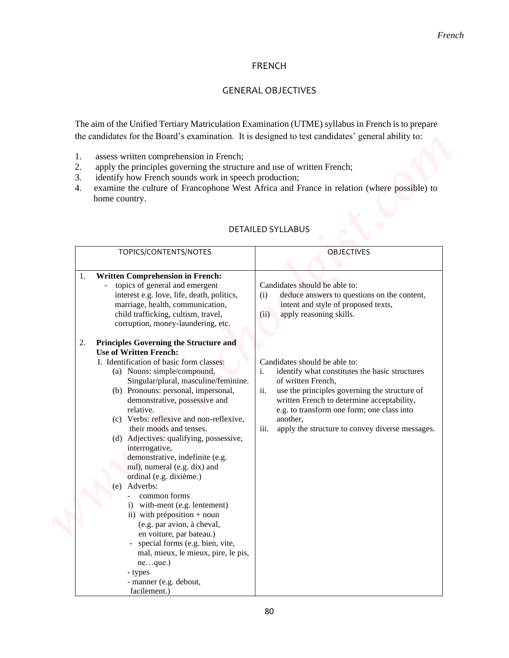### FRENCH

## GENERAL OBJECTIVES

- 1. assess written comprehension in French;
- 2. apply the principles governing the structure and use of written French;
- 3. identify how French sounds work in speech production;<br>4. examine the culture of Francophone West Africa and F
- examine the culture of Francophone West Africa and France in relation (where possible) to home country.

|                                                                                                                                                                                                                                                                                                                                                                                                                                                                                                                                                                                                                                                                                                                                                                                                                               | French                                                                                                                                                                                                                                                                                                                                 |
|-------------------------------------------------------------------------------------------------------------------------------------------------------------------------------------------------------------------------------------------------------------------------------------------------------------------------------------------------------------------------------------------------------------------------------------------------------------------------------------------------------------------------------------------------------------------------------------------------------------------------------------------------------------------------------------------------------------------------------------------------------------------------------------------------------------------------------|----------------------------------------------------------------------------------------------------------------------------------------------------------------------------------------------------------------------------------------------------------------------------------------------------------------------------------------|
|                                                                                                                                                                                                                                                                                                                                                                                                                                                                                                                                                                                                                                                                                                                                                                                                                               | <b>FRENCH</b>                                                                                                                                                                                                                                                                                                                          |
|                                                                                                                                                                                                                                                                                                                                                                                                                                                                                                                                                                                                                                                                                                                                                                                                                               | <b>GENERAL OBJECTIVES</b>                                                                                                                                                                                                                                                                                                              |
| the candidates for the Board's examination. It is designed to test candidates' general ability to:<br>assess written comprehension in French;<br>1.<br>2.<br>apply the principles governing the structure and use of written French;<br>identify how French sounds work in speech production;<br>3.<br>4.<br>home country.                                                                                                                                                                                                                                                                                                                                                                                                                                                                                                    | The aim of the Unified Tertiary Matriculation Examination (UTME) syllabus in French is to prepare<br>examine the culture of Francophone West Africa and France in relation (where possible) to                                                                                                                                         |
|                                                                                                                                                                                                                                                                                                                                                                                                                                                                                                                                                                                                                                                                                                                                                                                                                               | <b>DETAILED SYLLABUS</b>                                                                                                                                                                                                                                                                                                               |
| TOPICS/CONTENTS/NOTES                                                                                                                                                                                                                                                                                                                                                                                                                                                                                                                                                                                                                                                                                                                                                                                                         | <b>OBJECTIVES</b>                                                                                                                                                                                                                                                                                                                      |
| <b>Written Comprehension in French:</b><br>1.<br>topics of general and emergent<br>interest e.g. love, life, death, politics,<br>marriage, health, communication,<br>child trafficking, cultism, travel,<br>corruption, money-laundering, etc.                                                                                                                                                                                                                                                                                                                                                                                                                                                                                                                                                                                | Candidates should be able to:<br>deduce answers to questions on the content,<br>(i)<br>intent and style of proposed texts,<br>(ii)<br>apply reasoning skills.                                                                                                                                                                          |
| Principles Governing the Structure and<br>2.<br><b>Use of Written French:</b><br>I. Identification of basic form classes:<br>(a) Nouns: simple/compound,<br>Singular/plural, masculine/feminine.<br>(b) Pronouns: personal, impersonal,<br>demonstrative, possessive and<br>relative.<br>(c) Verbs: reflexive and non-reflexive,<br>their moods and tenses.<br>(d) Adjectives: qualifying, possessive,<br>interrogative,<br>demonstrative, indefinite (e.g.<br>nul), numeral (e.g. dix) and<br>ordinal (e.g. dixième.)<br>Adverbs:<br>(e)<br>common forms<br>i) with-ment (e.g. lentement)<br>ii) with préposition + noun<br>(e.g. par avion, à cheval,<br>en voiture, par bateau.)<br>special forms (e.g. bien, vite,<br>mal, mieux, le mieux, pire, le pis,<br>neque.)<br>- types<br>- manner (e.g. debout,<br>facilement.) | Candidates should be able to:<br>identify what constitutes the basic structures<br>i.<br>of written French,<br>ii.<br>use the principles governing the structure of<br>written French to determine acceptability,<br>e.g. to transform one form; one class into<br>another,<br>apply the structure to convey diverse messages.<br>iii. |

## DETAILED SYLLABUS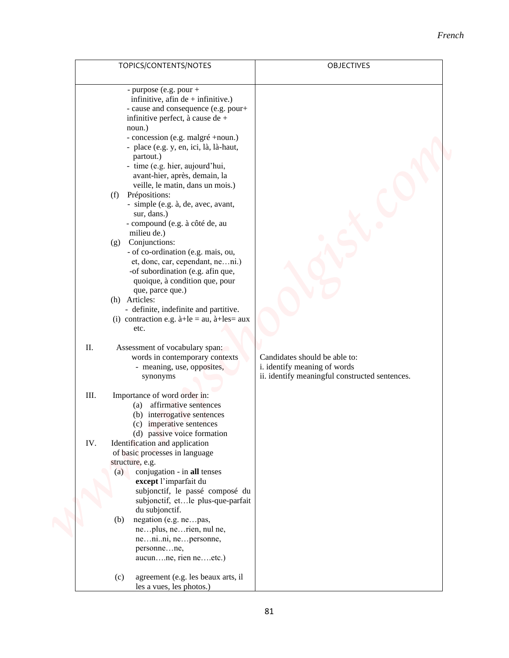#### *French*

| TOPICS/CONTENTS/NOTES                                                                                                                                                                                                                                                                                                                                                                                                                                                                                                                                                                                                                                                                                                                                                                                                                                                                                                                                                                                                                                                                                                                                                                                                                                                                                                                                                                                                                                                                              | OBJECTIVES                                                                                                                                            | French |
|----------------------------------------------------------------------------------------------------------------------------------------------------------------------------------------------------------------------------------------------------------------------------------------------------------------------------------------------------------------------------------------------------------------------------------------------------------------------------------------------------------------------------------------------------------------------------------------------------------------------------------------------------------------------------------------------------------------------------------------------------------------------------------------------------------------------------------------------------------------------------------------------------------------------------------------------------------------------------------------------------------------------------------------------------------------------------------------------------------------------------------------------------------------------------------------------------------------------------------------------------------------------------------------------------------------------------------------------------------------------------------------------------------------------------------------------------------------------------------------------------|-------------------------------------------------------------------------------------------------------------------------------------------------------|--------|
| - purpose (e.g. pour +<br>infinitive, afin $de +$ infinitive.)<br>- cause and consequence (e.g. pour+<br>infinitive perfect, à cause de +<br>noun.)<br>- concession (e.g. malgré +noun.)<br>- place (e.g. y, en, ici, là, là-haut,<br>partout.)<br>- time (e.g. hier, aujourd'hui,<br>avant-hier, après, demain, la<br>veille, le matin, dans un mois.)<br>(f) Prépositions:<br>- simple (e.g. à, de, avec, avant,<br>sur, dans.)<br>- compound (e.g. à côté de, au<br>milieu de.)<br>Conjunctions:<br>(g)<br>- of co-ordination (e.g. mais, ou,<br>et, donc, car, cependant, neni.)<br>-of subordination (e.g. afin que,<br>quoique, à condition que, pour<br>que, parce que.)<br>(h) Articles:<br>- definite, indefinite and partitive.<br>(i) contraction e.g. $\hat{a} + \hat{b} = au$ , $\hat{a} + \hat{b} = au$<br>etc.<br>II.<br>Assessment of vocabulary span:<br>words in contemporary contexts<br>- meaning, use, opposites,<br>synonyms<br>III.<br>Importance of word order in:<br>(a) affirmative sentences<br>(b) interrogative sentences<br>(c) imperative sentences<br>(d) passive voice formation<br>IV.<br>Identification and application<br>of basic processes in language<br>structure, e.g.<br>conjugation - in all tenses<br>(a)<br>except l'imparfait du<br>subjonctif, le passé composé du<br>subjonctif, etle plus-que-parfait<br>du subjonctif.<br>negation (e.g. nepas,<br>(b)<br>neplus, nerien, nul ne,<br>nenini, nepersonne,<br>personnene,<br>aucunne, rien neetc.) | Candidates should be able to:<br>i. identify meaning of words<br>ii. identify meaningful constructed sentences.<br>agreement (e.g. les beaux arts, il |        |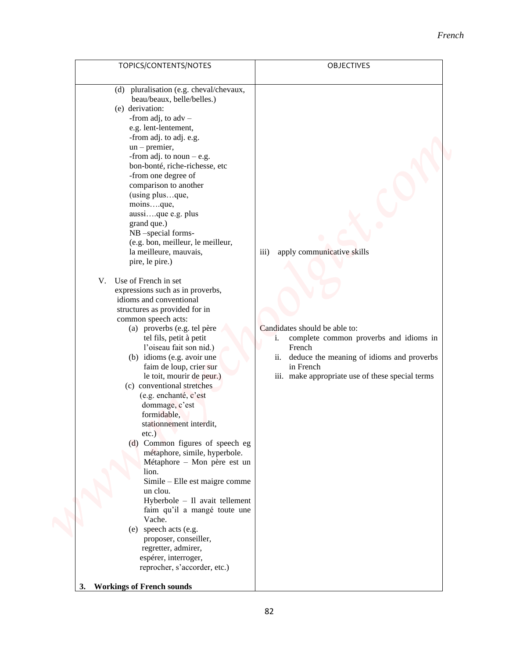|                                                                                                                                                                                                                                                                                                                                                                                                                                                                                                                                                                                                                                                                                                                                                                                                                                                                                                                                                                                                                                                                                                                                                                                                                                                                                                                                                                             | French                                                                                                                                                                                                                                                      |
|-----------------------------------------------------------------------------------------------------------------------------------------------------------------------------------------------------------------------------------------------------------------------------------------------------------------------------------------------------------------------------------------------------------------------------------------------------------------------------------------------------------------------------------------------------------------------------------------------------------------------------------------------------------------------------------------------------------------------------------------------------------------------------------------------------------------------------------------------------------------------------------------------------------------------------------------------------------------------------------------------------------------------------------------------------------------------------------------------------------------------------------------------------------------------------------------------------------------------------------------------------------------------------------------------------------------------------------------------------------------------------|-------------------------------------------------------------------------------------------------------------------------------------------------------------------------------------------------------------------------------------------------------------|
|                                                                                                                                                                                                                                                                                                                                                                                                                                                                                                                                                                                                                                                                                                                                                                                                                                                                                                                                                                                                                                                                                                                                                                                                                                                                                                                                                                             |                                                                                                                                                                                                                                                             |
| TOPICS/CONTENTS/NOTES                                                                                                                                                                                                                                                                                                                                                                                                                                                                                                                                                                                                                                                                                                                                                                                                                                                                                                                                                                                                                                                                                                                                                                                                                                                                                                                                                       | <b>OBJECTIVES</b>                                                                                                                                                                                                                                           |
| pluralisation (e.g. cheval/chevaux,<br>(d)<br>beau/beaux, belle/belles.)<br>(e) derivation:<br>-from adj, to $adv -$<br>e.g. lent-lentement,<br>-from adj. to adj. e.g.<br>$un$ – premier,<br>-from adj. to noun $-$ e.g.<br>bon-bonté, riche-richesse, etc<br>-from one degree of<br>comparison to another<br>(using plusque,<br>moinsque,<br>aussique e.g. plus<br>grand que.)<br>NB-special forms-<br>(e.g. bon, meilleur, le meilleur,<br>la meilleure, mauvais,<br>pire, le pire.)<br>V. Use of French in set<br>expressions such as in proverbs,<br>idioms and conventional<br>structures as provided for in<br>common speech acts:<br>(a) proverbs (e.g. tel père<br>tel fils, petit à petit<br>l'oiseau fait son nid.)<br>(b) idioms (e.g. avoir une<br>faim de loup, crier sur<br>le toit, mourir de peur.)<br>(c) conventional stretches<br>(e.g. enchanté, c'est<br>dommage, c'est<br>formidable,<br>stationnement interdit,<br>$etc.$ )<br>(d) Common figures of speech eg<br>métaphore, simile, hyperbole.<br>Métaphore - Mon père est un<br>lion.<br>Simile - Elle est maigre comme<br>un clou.<br>Hyberbole - Il avait tellement<br>faim qu'il a mangé toute une<br>Vache.<br>(e) speech acts (e.g.<br>proposer, conseiller,<br>regretter, admirer,<br>espérer, interroger,<br>reprocher, s'accorder, etc.)<br><b>Workings of French sounds</b><br><b>3.</b> | apply communicative skills<br>$\overline{iii}$<br>Candidates should be able to:<br>complete common proverbs and idioms in<br>i.<br>French<br>ii. deduce the meaning of idioms and proverbs<br>in French<br>iii. make appropriate use of these special terms |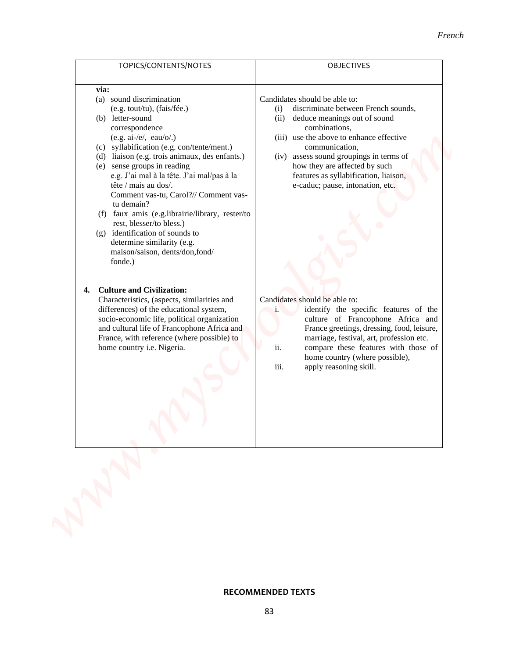| via:<br>(a) sound discrimination<br>(e.g. tout/tu), (fais/fée.)<br>(b) letter-sound<br>correspondence<br>$(e.g. ai-/e/, eau/o/.)$<br>(c) syllabification (e.g. con/tente/ment.)<br>(d) liaison (e.g. trois animaux, des enfants.)<br>(e) sense groups in reading<br>e.g. J'ai mal à la tête. J'ai mal/pas à la<br>tête / mais au dos/.<br>Comment vas-tu, Carol?// Comment vas-<br>tu demain?<br>(f) faux amis (e.g.librairie/library, rester/to<br>rest, blesser/to bless.)<br>identification of sounds to<br>(g)<br>determine similarity (e.g.<br>maison/saison, dents/don, fond/<br>fonde.) | Candidates should be able to:<br>discriminate between French sounds,<br>(i)<br>deduce meanings out of sound<br>(ii)<br>combinations,<br>(iii) use the above to enhance effective<br>communication,<br>(iv) assess sound groupings in terms of<br>how they are affected by such<br>features as syllabification, liaison,<br>e-caduc; pause, intonation, etc. |
|------------------------------------------------------------------------------------------------------------------------------------------------------------------------------------------------------------------------------------------------------------------------------------------------------------------------------------------------------------------------------------------------------------------------------------------------------------------------------------------------------------------------------------------------------------------------------------------------|-------------------------------------------------------------------------------------------------------------------------------------------------------------------------------------------------------------------------------------------------------------------------------------------------------------------------------------------------------------|
| <b>Culture and Civilization:</b><br>4.<br>Characteristics, (aspects, similarities and<br>differences) of the educational system,<br>socio-economic life, political organization<br>and cultural life of Francophone Africa and<br>France, with reference (where possible) to<br>home country i.e. Nigeria.                                                                                                                                                                                                                                                                                     | Candidates should be able to:<br>identify the specific features of the<br>$\mathbf{i}$ .<br>culture of Francophone Africa and<br>France greetings, dressing, food, leisure,<br>marriage, festival, art, profession etc.<br>ii.<br>compare these features with those of<br>home country (where possible),<br>iii.<br>apply reasoning skill.                  |

# **RECOMMENDED TEXTS**